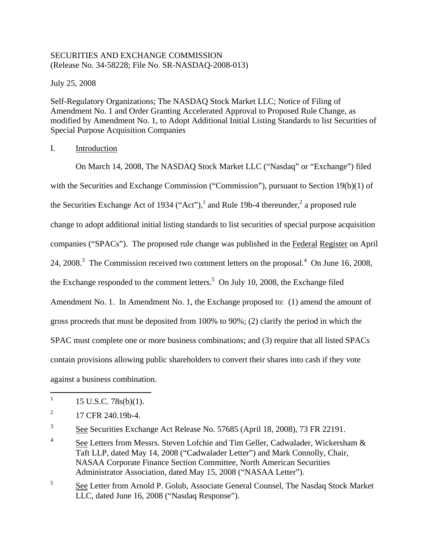# SECURITIES AND EXCHANGE COMMISSION (Release No. 34-58228; File No. SR-NASDAQ-2008-013)

July 25, 2008

Self-Regulatory Organizations; The NASDAQ Stock Market LLC; Notice of Filing of Amendment No. 1 and Order Granting Accelerated Approval to Proposed Rule Change, as modified by Amendment No. 1, to Adopt Additional Initial Listing Standards to list Securities of Special Purpose Acquisition Companies

# I. Introduction

On March 14, 2008, The NASDAQ Stock Market LLC ("Nasdaq" or "Exchange") filed with the Securities and Exchange Commission ("Commission"), pursuant to Section 19(b)(1) of the Securities Exchange Act of 1934 ("Act"),<sup>1</sup> and Rule 19b-4 thereunder,<sup>2</sup> a proposed rule change to adopt additional initial listing standards to list securities of special purpose acquisition companies ("SPACs"). The proposed rule change was published in the Federal Register on April 24, 2008.<sup>3</sup> The Commission received two comment letters on the proposal.<sup>4</sup> On June 16, 2008, the Exchange responded to the comment letters.<sup>5</sup> On July 10, 2008, the Exchange filed Amendment No. 1. In Amendment No. 1, the Exchange proposed to: (1) amend the amount of gross proceeds that must be deposited from 100% to 90%; (2) clarify the period in which the SPAC must complete one or more business combinations; and (3) require that all listed SPACs contain provisions allowing public shareholders to convert their shares into cash if they vote against a business combination.

5 See Letter from Arnold P. Golub, Associate General Counsel, The Nasdaq Stock Market LLC, dated June 16, 2008 ("Nasdaq Response").

 $1 \quad 15 \text{ U.S.C. } 78 \text{s(b)}(1).$ 

 $^{2}$  17 CFR 240.19b-4.

 $\frac{3}{2}$  See Securities Exchange Act Release No. 57685 (April 18, 2008), 73 FR 22191.

<sup>&</sup>lt;sup>4</sup> See Letters from Messrs. Steven Lofchie and Tim Geller, Cadwalader, Wickersham  $\&$ Taft LLP, dated May 14, 2008 ("Cadwalader Letter") and Mark Connolly, Chair, NASAA Corporate Finance Section Committee, North American Securities Administrator Association, dated May 15, 2008 ("NASAA Letter").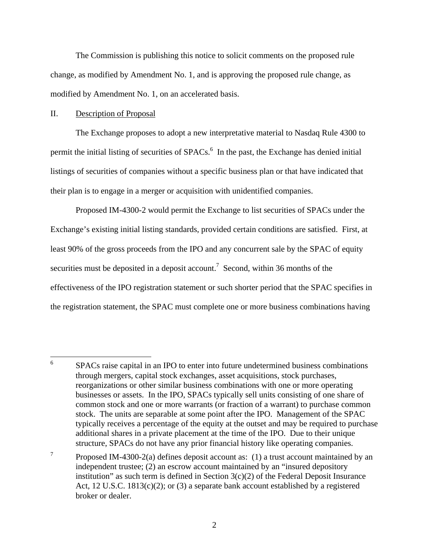The Commission is publishing this notice to solicit comments on the proposed rule change, as modified by Amendment No. 1, and is approving the proposed rule change, as modified by Amendment No. 1, on an accelerated basis.

### II. Description of Proposal

The Exchange proposes to adopt a new interpretative material to Nasdaq Rule 4300 to permit the initial listing of securities of SPACs.<sup>6</sup> In the past, the Exchange has denied initial listings of securities of companies without a specific business plan or that have indicated that their plan is to engage in a merger or acquisition with unidentified companies.

Proposed IM-4300-2 would permit the Exchange to list securities of SPACs under the Exchange's existing initial listing standards, provided certain conditions are satisfied. First, at least 90% of the gross proceeds from the IPO and any concurrent sale by the SPAC of equity securities must be deposited in a deposit account.<sup>7</sup> Second, within 36 months of the effectiveness of the IPO registration statement or such shorter period that the SPAC specifies in the registration statement, the SPAC must complete one or more business combinations having

<sup>&</sup>lt;sup>6</sup> SPACs raise capital in an IPO to enter into future undetermined business combinations through mergers, capital stock exchanges, asset acquisitions, stock purchases, reorganizations or other similar business combinations with one or more operating businesses or assets. In the IPO, SPACs typically sell units consisting of one share of common stock and one or more warrants (or fraction of a warrant) to purchase common stock. The units are separable at some point after the IPO. Management of the SPAC typically receives a percentage of the equity at the outset and may be required to purchase additional shares in a private placement at the time of the IPO. Due to their unique structure, SPACs do not have any prior financial history like operating companies.

<sup>&</sup>lt;sup>7</sup> Proposed IM-4300-2(a) defines deposit account as: (1) a trust account maintained by an independent trustee; (2) an escrow account maintained by an "insured depository institution" as such term is defined in Section  $3(c)(2)$  of the Federal Deposit Insurance Act, 12 U.S.C. 1813(c)(2); or (3) a separate bank account established by a registered broker or dealer.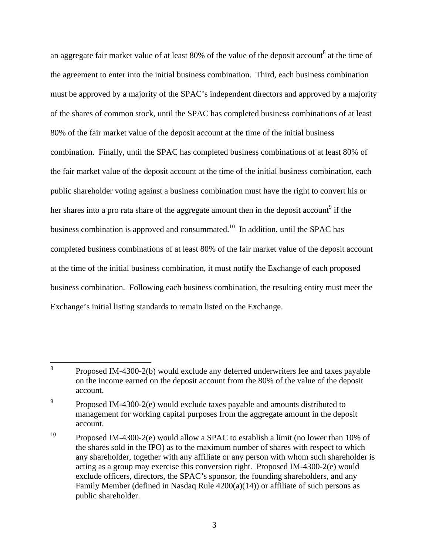an aggregate fair market value of at least 80% of the value of the deposit account<sup>8</sup> at the time of the agreement to enter into the initial business combination. Third, each business combination must be approved by a majority of the SPAC's independent directors and approved by a majority of the shares of common stock, until the SPAC has completed business combinations of at least 80% of the fair market value of the deposit account at the time of the initial business combination. Finally, until the SPAC has completed business combinations of at least 80% of the fair market value of the deposit account at the time of the initial business combination, each public shareholder voting against a business combination must have the right to convert his or her shares into a pro rata share of the aggregate amount then in the deposit account<sup>9</sup> if the business combination is approved and consummated.<sup>10</sup> In addition, until the SPAC has completed business combinations of at least 80% of the fair market value of the deposit account at the time of the initial business combination, it must notify the Exchange of each proposed business combination. Following each business combination, the resulting entity must meet the Exchange's initial listing standards to remain listed on the Exchange.

<sup>8</sup> Proposed IM-4300-2(b) would exclude any deferred underwriters fee and taxes payable on the income earned on the deposit account from the 80% of the value of the deposit account.

<sup>&</sup>lt;sup>9</sup> Proposed IM-4300-2(e) would exclude taxes payable and amounts distributed to management for working capital purposes from the aggregate amount in the deposit account.

<sup>&</sup>lt;sup>10</sup> Proposed IM-4300-2(e) would allow a SPAC to establish a limit (no lower than 10% of the shares sold in the IPO) as to the maximum number of shares with respect to which any shareholder, together with any affiliate or any person with whom such shareholder is acting as a group may exercise this conversion right. Proposed IM-4300-2(e) would exclude officers, directors, the SPAC's sponsor, the founding shareholders, and any Family Member (defined in Nasdaq Rule 4200(a)(14)) or affiliate of such persons as public shareholder.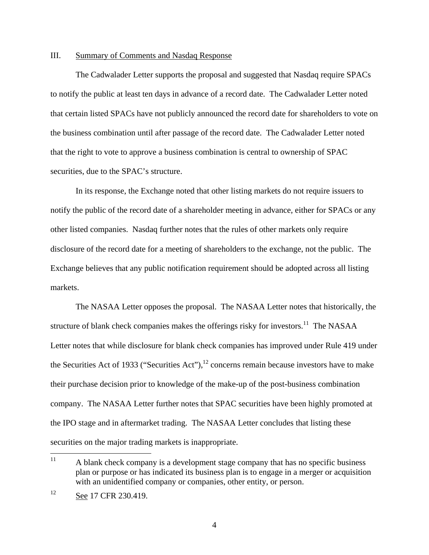### III. Summary of Comments and Nasdaq Response

The Cadwalader Letter supports the proposal and suggested that Nasdaq require SPACs to notify the public at least ten days in advance of a record date. The Cadwalader Letter noted that certain listed SPACs have not publicly announced the record date for shareholders to vote on the business combination until after passage of the record date. The Cadwalader Letter noted that the right to vote to approve a business combination is central to ownership of SPAC securities, due to the SPAC's structure.

In its response, the Exchange noted that other listing markets do not require issuers to notify the public of the record date of a shareholder meeting in advance, either for SPACs or any other listed companies. Nasdaq further notes that the rules of other markets only require disclosure of the record date for a meeting of shareholders to the exchange, not the public. The Exchange believes that any public notification requirement should be adopted across all listing markets.

The NASAA Letter opposes the proposal. The NASAA Letter notes that historically, the structure of blank check companies makes the offerings risky for investors.<sup>11</sup> The NASAA Letter notes that while disclosure for blank check companies has improved under Rule 419 under the Securities Act of 1933 ("Securities Act"),  $^{12}$  concerns remain because investors have to make their purchase decision prior to knowledge of the make-up of the post-business combination company. The NASAA Letter further notes that SPAC securities have been highly promoted at the IPO stage and in aftermarket trading. The NASAA Letter concludes that listing these securities on the major trading markets is inappropriate.

<sup>&</sup>lt;sup>11</sup> A blank check company is a development stage company that has no specific business plan or purpose or has indicated its business plan is to engage in a merger or acquisition with an unidentified company or companies, other entity, or person.

<sup>&</sup>lt;sup>12</sup> See 17 CFR 230.419.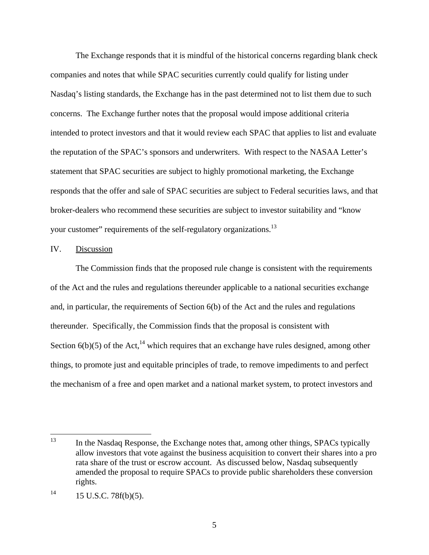The Exchange responds that it is mindful of the historical concerns regarding blank check companies and notes that while SPAC securities currently could qualify for listing under Nasdaq's listing standards, the Exchange has in the past determined not to list them due to such concerns. The Exchange further notes that the proposal would impose additional criteria intended to protect investors and that it would review each SPAC that applies to list and evaluate the reputation of the SPAC's sponsors and underwriters. With respect to the NASAA Letter's statement that SPAC securities are subject to highly promotional marketing, the Exchange responds that the offer and sale of SPAC securities are subject to Federal securities laws, and that broker-dealers who recommend these securities are subject to investor suitability and "know your customer" requirements of the self-regulatory organizations.<sup>13</sup>

#### IV. Discussion

The Commission finds that the proposed rule change is consistent with the requirements of the Act and the rules and regulations thereunder applicable to a national securities exchange and, in particular, the requirements of Section 6(b) of the Act and the rules and regulations thereunder. Specifically, the Commission finds that the proposal is consistent with Section  $6(b)(5)$  of the Act,<sup>14</sup> which requires that an exchange have rules designed, among other things, to promote just and equitable principles of trade, to remove impediments to and perfect the mechanism of a free and open market and a national market system, to protect investors and

<sup>&</sup>lt;sup>13</sup> In the Nasdaq Response, the Exchange notes that, among other things, SPACs typically allow investors that vote against the business acquisition to convert their shares into a pro rata share of the trust or escrow account. As discussed below, Nasdaq subsequently amended the proposal to require SPACs to provide public shareholders these conversion rights.

 $14$  15 U.S.C. 78f(b)(5).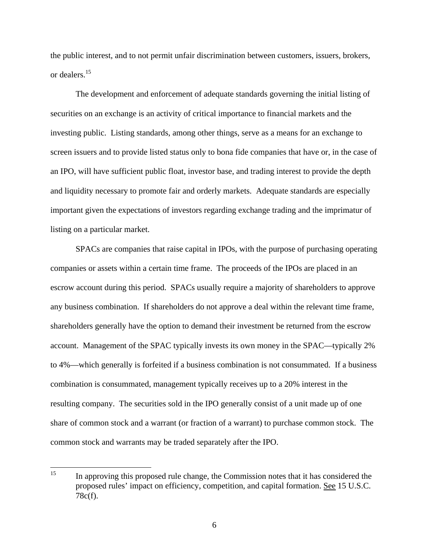the public interest, and to not permit unfair discrimination between customers, issuers, brokers, or dealers.15

The development and enforcement of adequate standards governing the initial listing of securities on an exchange is an activity of critical importance to financial markets and the investing public. Listing standards, among other things, serve as a means for an exchange to screen issuers and to provide listed status only to bona fide companies that have or, in the case of an IPO, will have sufficient public float, investor base, and trading interest to provide the depth and liquidity necessary to promote fair and orderly markets. Adequate standards are especially important given the expectations of investors regarding exchange trading and the imprimatur of listing on a particular market.

SPACs are companies that raise capital in IPOs, with the purpose of purchasing operating companies or assets within a certain time frame. The proceeds of the IPOs are placed in an escrow account during this period. SPACs usually require a majority of shareholders to approve any business combination. If shareholders do not approve a deal within the relevant time frame, shareholders generally have the option to demand their investment be returned from the escrow account. Management of the SPAC typically invests its own money in the SPAC—typically 2% to 4%—which generally is forfeited if a business combination is not consummated. If a business combination is consummated, management typically receives up to a 20% interest in the resulting company. The securities sold in the IPO generally consist of a unit made up of one share of common stock and a warrant (or fraction of a warrant) to purchase common stock. The common stock and warrants may be traded separately after the IPO.

In approving this proposed rule change, the Commission notes that it has considered the proposed rules' impact on efficiency, competition, and capital formation. See 15 U.S.C. 78c(f). 15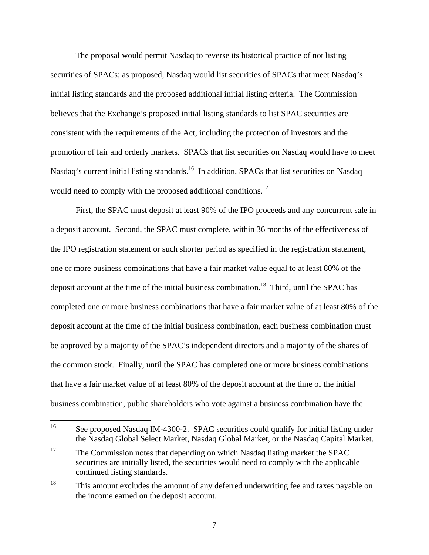The proposal would permit Nasdaq to reverse its historical practice of not listing securities of SPACs; as proposed, Nasdaq would list securities of SPACs that meet Nasdaq's initial listing standards and the proposed additional initial listing criteria. The Commission believes that the Exchange's proposed initial listing standards to list SPAC securities are consistent with the requirements of the Act, including the protection of investors and the promotion of fair and orderly markets. SPACs that list securities on Nasdaq would have to meet Nasdaq's current initial listing standards.<sup>16</sup> In addition, SPACs that list securities on Nasdaq would need to comply with the proposed additional conditions.<sup>17</sup>

First, the SPAC must deposit at least 90% of the IPO proceeds and any concurrent sale in a deposit account. Second, the SPAC must complete, within 36 months of the effectiveness of the IPO registration statement or such shorter period as specified in the registration statement, one or more business combinations that have a fair market value equal to at least 80% of the deposit account at the time of the initial business combination.<sup>18</sup> Third, until the SPAC has completed one or more business combinations that have a fair market value of at least 80% of the deposit account at the time of the initial business combination, each business combination must be approved by a majority of the SPAC's independent directors and a majority of the shares of the common stock. Finally, until the SPAC has completed one or more business combinations that have a fair market value of at least 80% of the deposit account at the time of the initial business combination, public shareholders who vote against a business combination have the

<sup>&</sup>lt;sup>16</sup> See proposed Nasdaq IM-4300-2. SPAC securities could qualify for initial listing under the Nasdaq Global Select Market, Nasdaq Global Market, or the Nasdaq Capital Market.

<sup>&</sup>lt;sup>17</sup> The Commission notes that depending on which Nasdaq listing market the SPAC securities are initially listed, the securities would need to comply with the applicable continued listing standards.

<sup>&</sup>lt;sup>18</sup> This amount excludes the amount of any deferred underwriting fee and taxes payable on the income earned on the deposit account.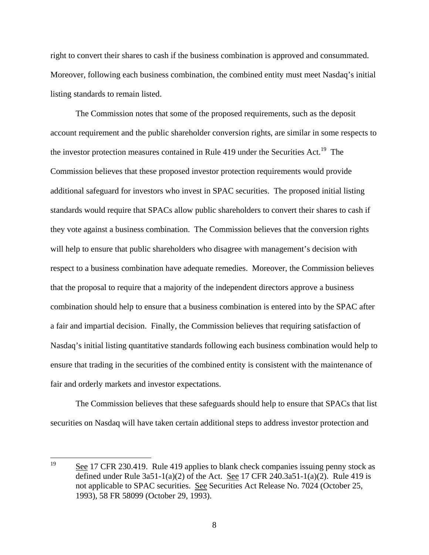right to convert their shares to cash if the business combination is approved and consummated. Moreover, following each business combination, the combined entity must meet Nasdaq's initial listing standards to remain listed.

The Commission notes that some of the proposed requirements, such as the deposit account requirement and the public shareholder conversion rights, are similar in some respects to the investor protection measures contained in Rule 419 under the Securities Act.<sup>19</sup> The Commission believes that these proposed investor protection requirements would provide additional safeguard for investors who invest in SPAC securities. The proposed initial listing standards would require that SPACs allow public shareholders to convert their shares to cash if they vote against a business combination. The Commission believes that the conversion rights will help to ensure that public shareholders who disagree with management's decision with respect to a business combination have adequate remedies. Moreover, the Commission believes that the proposal to require that a majority of the independent directors approve a business combination should help to ensure that a business combination is entered into by the SPAC after a fair and impartial decision. Finally, the Commission believes that requiring satisfaction of Nasdaq's initial listing quantitative standards following each business combination would help to ensure that trading in the securities of the combined entity is consistent with the maintenance of fair and orderly markets and investor expectations.

The Commission believes that these safeguards should help to ensure that SPACs that list securities on Nasdaq will have taken certain additional steps to address investor protection and

8

See 17 CFR 230.419. Rule 419 applies to blank check companies issuing penny stock as defined under Rule  $3a51-1(a)(2)$  of the Act. See 17 CFR 240.3a51-1(a)(2). Rule 419 is not applicable to SPAC securities. See Securities Act Release No. 7024 (October 25, 1993), 58 FR 58099 (October 29, 1993). 19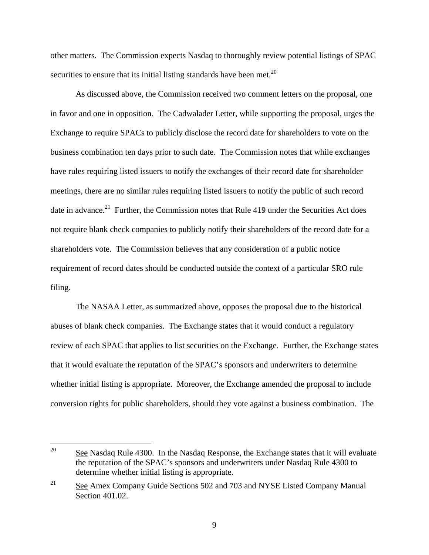other matters. The Commission expects Nasdaq to thoroughly review potential listings of SPAC securities to ensure that its initial listing standards have been met.<sup>20</sup>

As discussed above, the Commission received two comment letters on the proposal, one in favor and one in opposition. The Cadwalader Letter, while supporting the proposal, urges the Exchange to require SPACs to publicly disclose the record date for shareholders to vote on the business combination ten days prior to such date. The Commission notes that while exchanges have rules requiring listed issuers to notify the exchanges of their record date for shareholder meetings, there are no similar rules requiring listed issuers to notify the public of such record date in advance.<sup>21</sup> Further, the Commission notes that Rule 419 under the Securities Act does not require blank check companies to publicly notify their shareholders of the record date for a shareholders vote. The Commission believes that any consideration of a public notice requirement of record dates should be conducted outside the context of a particular SRO rule filing.

The NASAA Letter, as summarized above, opposes the proposal due to the historical abuses of blank check companies. The Exchange states that it would conduct a regulatory review of each SPAC that applies to list securities on the Exchange. Further, the Exchange states that it would evaluate the reputation of the SPAC's sponsors and underwriters to determine whether initial listing is appropriate. Moreover, the Exchange amended the proposal to include conversion rights for public shareholders, should they vote against a business combination. The

<sup>&</sup>lt;sup>20</sup> See Nasdaq Rule 4300. In the Nasdaq Response, the Exchange states that it will evaluate the reputation of the SPAC's sponsors and underwriters under Nasdaq Rule 4300 to determine whether initial listing is appropriate.

<sup>&</sup>lt;sup>21</sup> See Amex Company Guide Sections 502 and 703 and NYSE Listed Company Manual Section 401.02.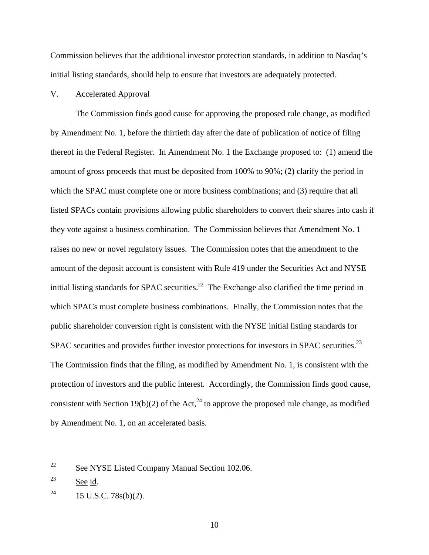Commission believes that the additional investor protection standards, in addition to Nasdaq's initial listing standards, should help to ensure that investors are adequately protected.

# V. Accelerated Approval

The Commission finds good cause for approving the proposed rule change, as modified by Amendment No. 1, before the thirtieth day after the date of publication of notice of filing thereof in the Federal Register. In Amendment No. 1 the Exchange proposed to: (1) amend the amount of gross proceeds that must be deposited from 100% to 90%; (2) clarify the period in which the SPAC must complete one or more business combinations; and (3) require that all listed SPACs contain provisions allowing public shareholders to convert their shares into cash if they vote against a business combination. The Commission believes that Amendment No. 1 raises no new or novel regulatory issues. The Commission notes that the amendment to the amount of the deposit account is consistent with Rule 419 under the Securities Act and NYSE initial listing standards for SPAC securities.<sup>22</sup> The Exchange also clarified the time period in which SPACs must complete business combinations. Finally, the Commission notes that the public shareholder conversion right is consistent with the NYSE initial listing standards for SPAC securities and provides further investor protections for investors in SPAC securities.<sup>23</sup> The Commission finds that the filing, as modified by Amendment No. 1, is consistent with the protection of investors and the public interest. Accordingly, the Commission finds good cause, consistent with Section 19(b)(2) of the Act,<sup>24</sup> to approve the proposed rule change, as modified by Amendment No. 1, on an accelerated basis.

 $\frac{22}{2}$  See NYSE Listed Company Manual Section 102.06.

<sup>&</sup>lt;sup>23</sup> See id.

<sup>&</sup>lt;sup>24</sup> 15 U.S.C. 78s(b)(2).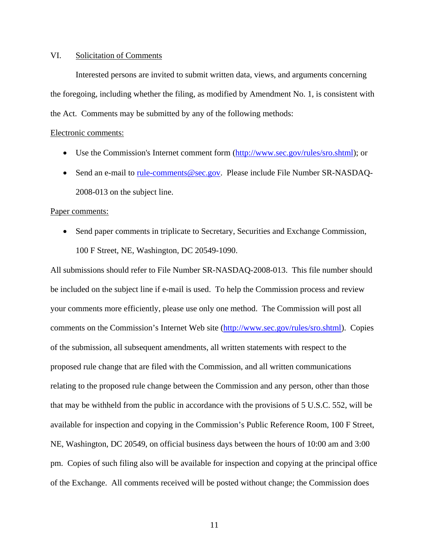### VI. Solicitation of Comments

Interested persons are invited to submit written data, views, and arguments concerning the foregoing, including whether the filing, as modified by Amendment No. 1, is consistent with the Act. Comments may be submitted by any of the following methods:

### Electronic comments:

- Use the Commission's Internet comment form (http://www.sec.gov/rules/sro.shtml); or
- Send an e-mail to rule-comments@sec.gov. Please include File Number SR-NASDAQ-2008-013 on the subject line.

#### Paper comments:

• Send paper comments in triplicate to Secretary, Securities and Exchange Commission, 100 F Street, NE, Washington, DC 20549-1090.

All submissions should refer to File Number SR-NASDAQ-2008-013. This file number should be included on the subject line if e-mail is used. To help the Commission process and review your comments more efficiently, please use only one method. The Commission will post all comments on the Commission's Internet Web site (http://www.sec.gov/rules/sro.shtml). Copies of the submission, all subsequent amendments, all written statements with respect to the proposed rule change that are filed with the Commission, and all written communications relating to the proposed rule change between the Commission and any person, other than those that may be withheld from the public in accordance with the provisions of 5 U.S.C. 552, will be available for inspection and copying in the Commission's Public Reference Room, 100 F Street, NE, Washington, DC 20549, on official business days between the hours of 10:00 am and 3:00 pm. Copies of such filing also will be available for inspection and copying at the principal office of the Exchange. All comments received will be posted without change; the Commission does